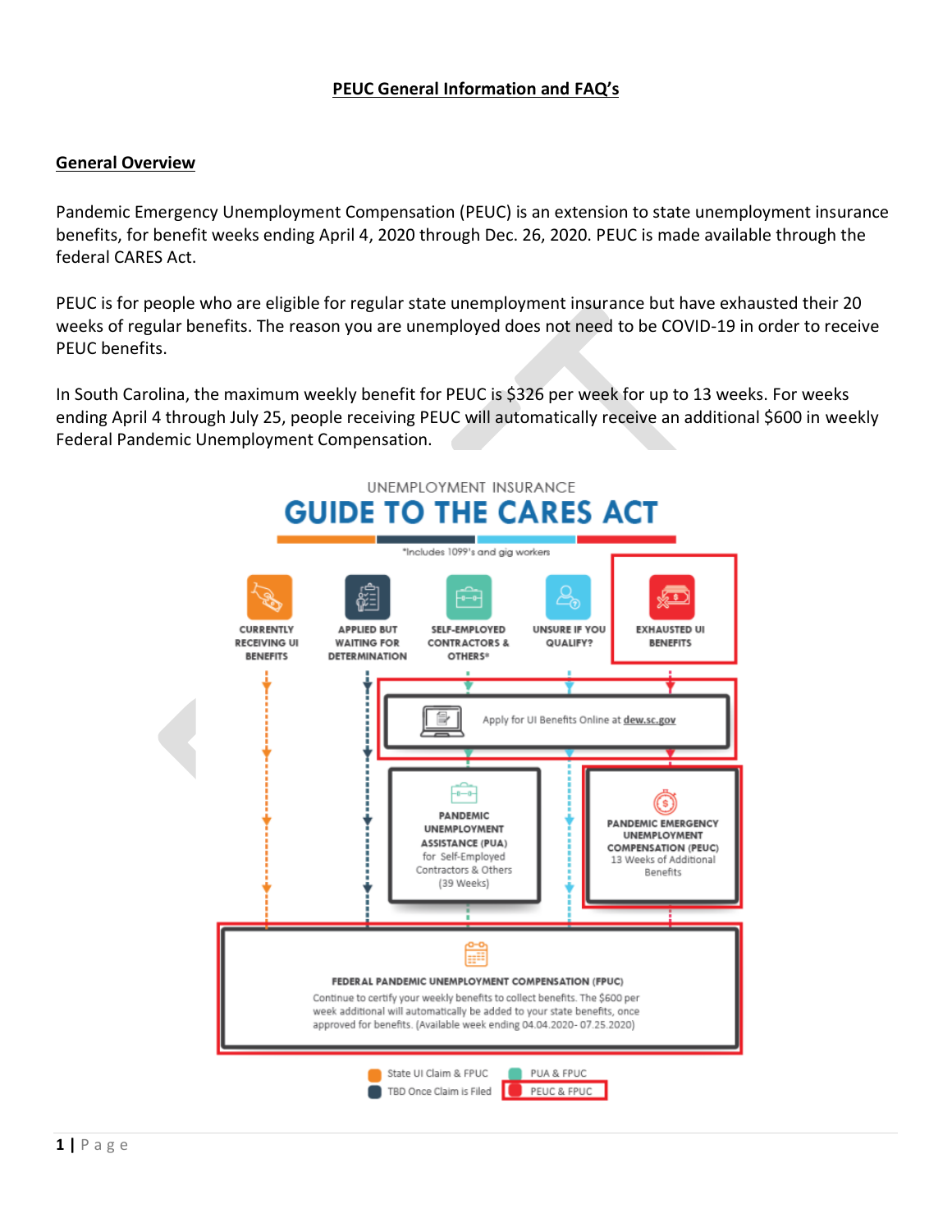## **PEUC General Information and FAQ's**

#### **General Overview**

Pandemic Emergency Unemployment Compensation (PEUC) is an extension to state unemployment insurance benefits, for benefit weeks ending April 4, 2020 through Dec. 26, 2020. PEUC is made available through the federal CARES Act.

PEUC is for people who are eligible for regular state unemployment insurance but have exhausted their 20 weeks of regular benefits. The reason you are unemployed does not need to be COVID-19 in order to receive PEUC benefits.

In South Carolina, the maximum weekly benefit for PEUC is \$326 per week for up to 13 weeks. For weeks ending April 4 through July 25, people receiving PEUC will automatically receive an additional \$600 in weekly Federal Pandemic Unemployment Compensation.

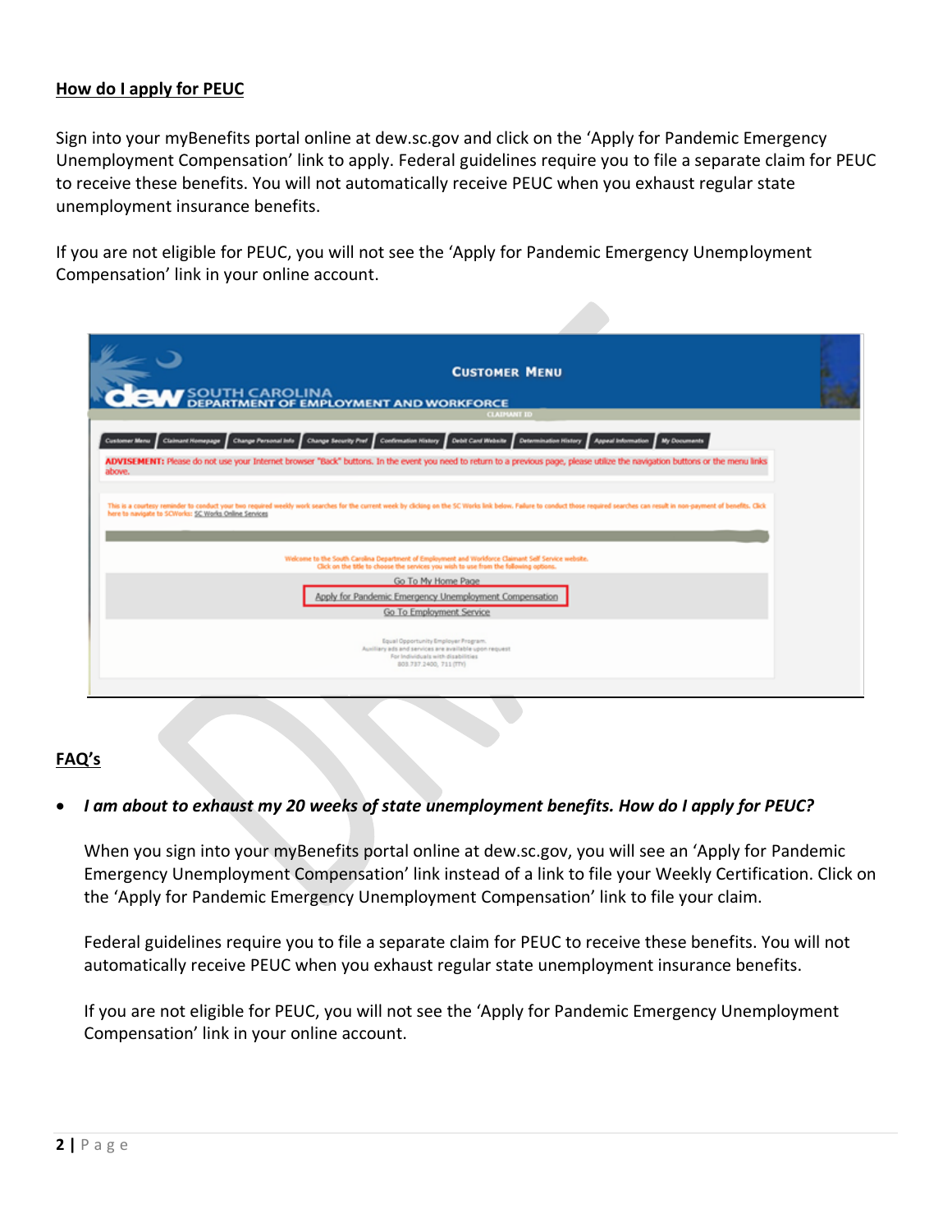### **How do I apply for PEUC**

Sign into your myBenefits portal online at dew.sc.gov and click on the 'Apply for Pandemic Emergency Unemployment Compensation' link to apply. Federal guidelines require you to file a separate claim for PEUC to receive these benefits. You will not automatically receive PEUC when you exhaust regular state unemployment insurance benefits.

If you are not eligible for PEUC, you will not see the 'Apply for Pandemic Emergency Unemployment Compensation' link in your online account.

| <b>CUSTOMER MENU</b>                                                                                                                                                                                                                                                                    |
|-----------------------------------------------------------------------------------------------------------------------------------------------------------------------------------------------------------------------------------------------------------------------------------------|
| SOUTH CAROLINA<br>PEPARTMENT OF EMPLOYMENT AND WORKFORCE                                                                                                                                                                                                                                |
| <b>CLAIMANT ID</b>                                                                                                                                                                                                                                                                      |
| Change Personal Info Change Security Pref Confirmation History Debit Card Website<br><b>Determination History</b><br>Claimant Homepage<br><b>Appeal Information</b><br>My Documents<br><b>Customer Menu</b>                                                                             |
| ADVISEMENT: Please do not use your Internet browser "Back" buttons. In the event you need to return to a previous page, please utilize the navigation buttons or the menu links<br>above.                                                                                               |
|                                                                                                                                                                                                                                                                                         |
| This is a courtesy reminder to conduct your two required weekly work searches for the current week by clicking on the SC Works link below. Failure to conduct those required searches can result in non-payment of benefits. C<br>here to navigate to SCWorks: SC Works Online Services |
|                                                                                                                                                                                                                                                                                         |
| Welcome to the South Carolina Department of Employment and Worldonce Claimant Self Service website.<br>Click on the title to choose the services you wish to use from the following options.                                                                                            |
| Go To My Home Page                                                                                                                                                                                                                                                                      |
| Apply for Pandemic Emergency Unemployment Compensation                                                                                                                                                                                                                                  |
| Go To Employment Service                                                                                                                                                                                                                                                                |
|                                                                                                                                                                                                                                                                                         |
| Equal Opportunity Employer Program.<br>Auxiliary ads and services are available upon request<br>For Individuals with disabilities                                                                                                                                                       |
| 803.737.2400, 711 (TTY)                                                                                                                                                                                                                                                                 |
|                                                                                                                                                                                                                                                                                         |
|                                                                                                                                                                                                                                                                                         |

## **FAQ's**

#### • *I am about to exhaust my 20 weeks of state unemployment benefits. How do I apply for PEUC?*

When you sign into your myBenefits portal online at dew.sc.gov, you will see an 'Apply for Pandemic Emergency Unemployment Compensation' link instead of a link to file your Weekly Certification. Click on the 'Apply for Pandemic Emergency Unemployment Compensation' link to file your claim.

Federal guidelines require you to file a separate claim for PEUC to receive these benefits. You will not automatically receive PEUC when you exhaust regular state unemployment insurance benefits.

If you are not eligible for PEUC, you will not see the 'Apply for Pandemic Emergency Unemployment Compensation' link in your online account.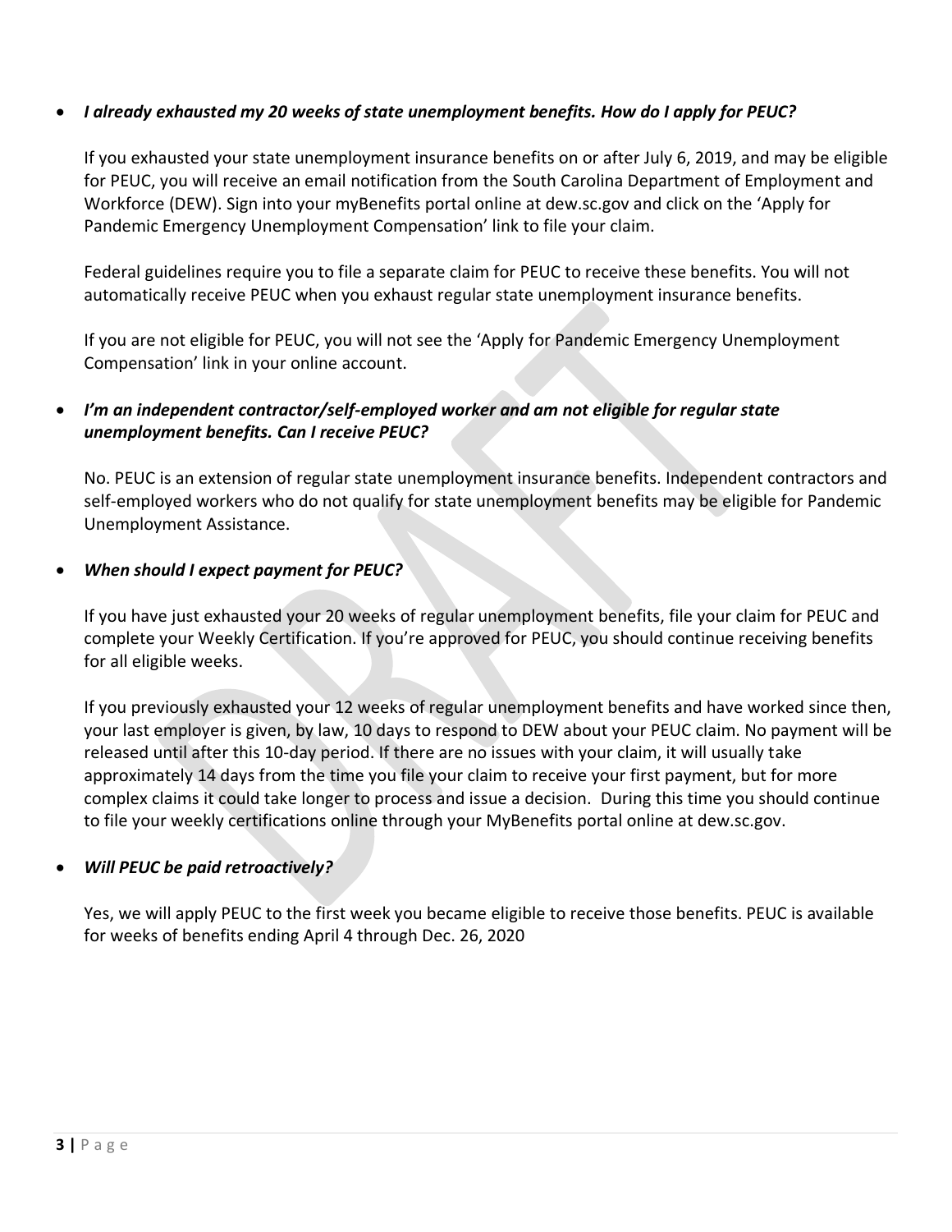## • *I already exhausted my 20 weeks of state unemployment benefits. How do I apply for PEUC?*

If you exhausted your state unemployment insurance benefits on or after July 6, 2019, and may be eligible for PEUC, you will receive an email notification from the South Carolina Department of Employment and Workforce (DEW). Sign into your myBenefits portal online at dew.sc.gov and click on the 'Apply for Pandemic Emergency Unemployment Compensation' link to file your claim.

Federal guidelines require you to file a separate claim for PEUC to receive these benefits. You will not automatically receive PEUC when you exhaust regular state unemployment insurance benefits.

If you are not eligible for PEUC, you will not see the 'Apply for Pandemic Emergency Unemployment Compensation' link in your online account.

# • *I'm an independent contractor/self-employed worker and am not eligible for regular state unemployment benefits. Can I receive PEUC?*

No. PEUC is an extension of regular state unemployment insurance benefits. Independent contractors and self-employed workers who do not qualify for state unemployment benefits may be eligible for Pandemic Unemployment Assistance.

### • *When should I expect payment for PEUC?*

If you have just exhausted your 20 weeks of regular unemployment benefits, file your claim for PEUC and complete your Weekly Certification. If you're approved for PEUC, you should continue receiving benefits for all eligible weeks.

If you previously exhausted your 12 weeks of regular unemployment benefits and have worked since then, your last employer is given, by law, 10 days to respond to DEW about your PEUC claim. No payment will be released until after this 10-day period. If there are no issues with your claim, it will usually take approximately 14 days from the time you file your claim to receive your first payment, but for more complex claims it could take longer to process and issue a decision. During this time you should continue to file your weekly certifications online through your MyBenefits portal online at dew.sc.gov.

## • *Will PEUC be paid retroactively?*

Yes, we will apply PEUC to the first week you became eligible to receive those benefits. PEUC is available for weeks of benefits ending April 4 through Dec. 26, 2020